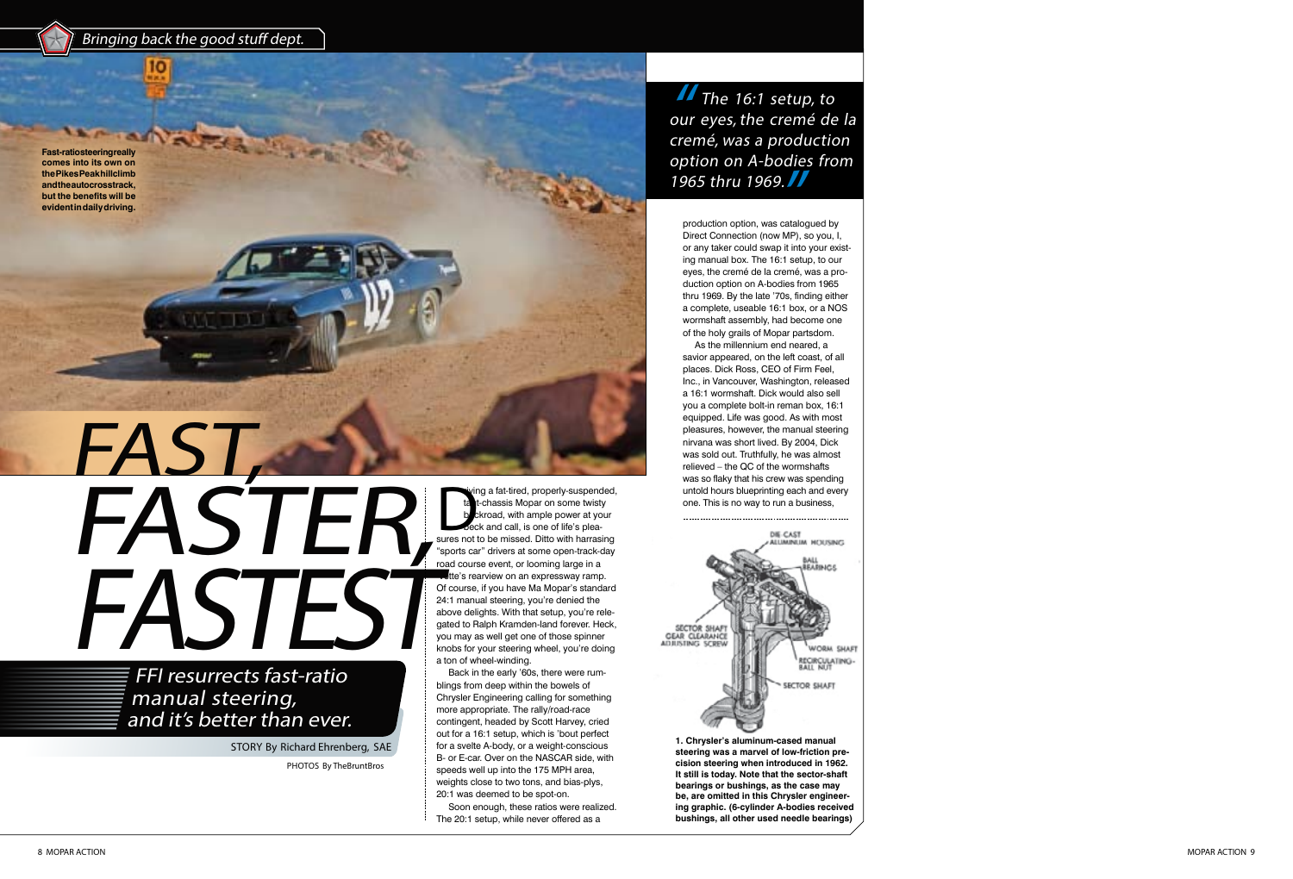wing a fat-tired, properly-suspended,<br>the t-chassis Mopar on some twisty<br>b ckroad, with ample power at your<br>beck and call, is one of life's plea-<br>sures not to be missed. Ditto with harrasing ng a fat-tired, properly-suspended, t-chassis Mopar on some twisty kroad, with ample power at your beck and call, is one of life's plea - "sports car" drivers at some open-track-day  $\blacksquare$  road course event, or looming large in a tte's rearview on an expressway ramp. Of course, if you have Ma Mopar's standard 24:1 manual steering, you're denied the above delights. With that setup, you're rele gated to Ralph Kramden-land forever. Heck, you may as well get one of those spinner knobs for your steering wheel, you're doing a ton of wheel-winding.

8 MOPAR ACTION MOPAR ACTION MOPAR ACTION 9

## FAST, **FASTER** FASTE!

Back in the early '60s, there were rum blings from deep within the bowels of Chrysler Engineering calling for something more appropriate. The rally/road-race contingent, headed by Scott Harvey, cried out for a 16:1 setup, which is 'bout perfect for a svelte A-body, or a weight-conscious B- or E-car. Over on the NASCAR side, with speeds well up into the 175 MPH area, weights close to two tons, and bias-plys, 20:1 was deemed to be spot-on.

Soon enough, these ratios were realized. The 20:1 setup, while never offered as a

The 16:1 setup, to our eyes, the cremé de la cremé, was a production option on A-bodies from 1965 thru 1969.

PHOTOS By TheBruntBros

Bringing back the good stuff dept.

FFI resurrects fast-ratio manual steering, and it's better than ever.

STORY By Richard Ehrenberg, SAE

production option, was catalogued by Direct Connection (now MP), so you, I, or any taker could swap it into your exist ing manual box. The 16:1 setup, to our eyes, the cremé de la cremé, was a pro duction option on A-bodies from 1965 thru 1969. By the late '70s, finding either a complete, useable 16:1 box, or a NOS wormshaft assembly, had become one of the holy grails of Mopar partsdom.

As the millennium end neared, a savior appeared, on the left coast, of all places. Dick Ross, CEO of Firm Feel, Inc., in Vancouver, Washington, released a 16:1 wormshaft. Dick would also sell you a complete bolt-in reman box, 16:1 equipped. Life was good. As with most pleasures, however, the manual steering nirvana was short lived. By 2004, Dick was sold out. Truthfully, he was almost relieved – the QC of the wormshafts was so flaky that his crew was spending untold hours blueprinting each and every one. This is no way to run a business,



**1. Chrysler's aluminum-cased manual steering was a marvel of low-friction pre cision steering when introduced in 1962. It still is today. Note that the sector -shaft bearings or bushings, as the case may be, are omitted in this Chrysler engineer ing graphic. (6-cylinder A-bodies received bushings, all other used needle bearings)**

**Fast-ratio steering really comes into its own on the Pikes Peak hillclimb and the autocross track, but the benefits will be evident in daily driving.**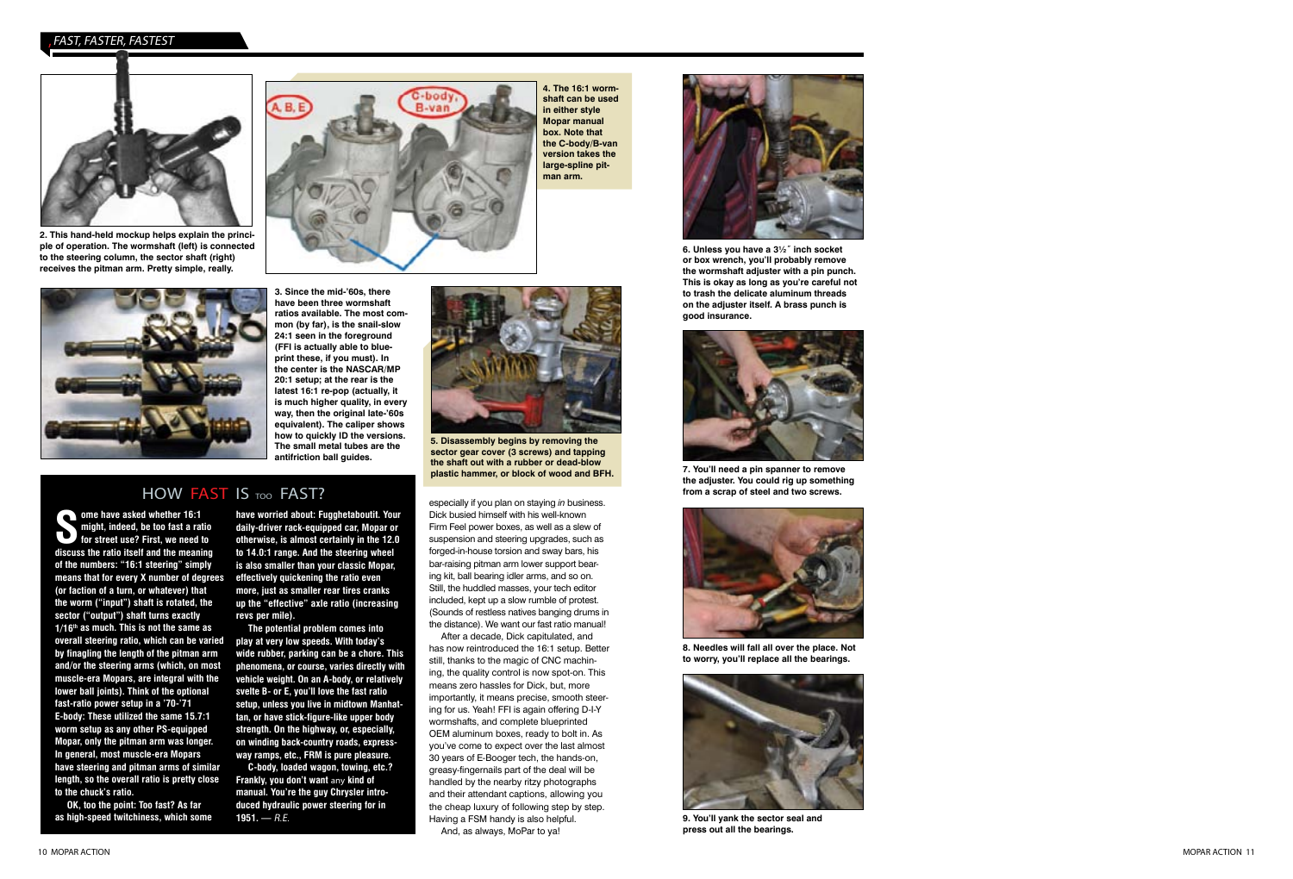especially if you plan on staying *in* business. Dick busied himself with his well-known Firm Feel power boxes, as well as a slew of suspension and steering upgrades, such as forged-in-house torsion and sway bars, his bar-raising pitman arm lower support bearing kit, ball bearing idler arms, and so on. Still, the huddled masses, your tech editor included, kept up a slow rumble of protest. (Sounds of restless natives banging drums in the distance). We want our fast ratio manual!

After a decade, Dick capitulated, and has now reintroduced the 16:1 setup. Better still, thanks to the magic of CNC machin ing, the quality control is now spot-on. This means zero hassles for Dick, but, more importantly, it means precise, smooth steer ing for us. Yeah! FFI is again offering D-I-Y wormshafts, and complete blueprinted OEM aluminum boxes, ready to bolt in. As you've come to expect over the last almost 30 years of E-Booger tech, the hands-on, greasy-fingernails part of the deal will be handled by the nearby ritzy photographs and their attendant captions, allowing you the cheap luxury of following step by step. Having a FSM handy is also helpful. And, as always, MoPar to ya!

**ome have asked whether 16:1 might, indeed, be too fast a ratio for street use? First, we need to discuss the ratio itself and the meaning of the numbers: "16:1 steering" simply means that for every X number of degrees (or faction of a turn, or whatever) that the worm ("input") shaft is rotated, the sector ("output") shaft turns exactly 1/16th as much. This is not the same as overall steering ratio, which can be varied by finagling the length of the pitman arm and/or the steering arms (which, on most muscle-era Mopars, are integral with the lower ball joints). Think of the optional fast-ratio power setup in a '70-'71 E-body: These utilized the same 15.7:1 worm setup as any other PS-equipped Mopar, only the pitman arm was longer. In general, most muscle-era Mopars have steering and pitman arms of similar length, so the overall ratio is pretty close to the chuck's ratio.**

**OK, too the point: Too fast? As far as high-speed twitchiness, which some** 

**have worried about: Fugghetaboutit. Your daily-driver rack-equipped car, Mopar or otherwise, is almost certainly in the 12.0 to 14.0:1 range. And the steering wheel is also smaller than your classic Mopar, effectively quickening the ratio even more, just as smaller rear tires cranks up the "effective" axle ratio (increasing revs per mile).**



**4. The 16:1 worm shaft can be used in either style Mopar manual box. Note that the C-body/B-van version takes the large-spline pit man arm.**



**The potential problem comes into play at very low speeds. With today's wide rubber, parking can be a chore. This phenomena, or course, varies directly with vehicle weight. On an A-body, or relatively svelte B- or E, you'll love the fast ratio setup, unless you live in midtown Manhat tan, or have stick-figure-like upper body strength. On the highway, or, especially, on winding back-country roads, express way ramps, etc., FRM is pure pleasure.**

**C-body, loaded wagon, towing, etc.? Frankly, you don't want** any **kind of manual. You're the guy Chrysler intro duced hydraulic power steering for in 1951. —** R.E.



**2. This hand-held mockup helps explain the princi ple of operation. The wormshaft (left) is connected to the steering column, the sector shaft (right) receives the pitman arm. Pretty simple, really.**

**3. Since the mid-'60s, there have been three wormshaft ratios available. The most com mon (by far), is the snail-slow 24:1 seen in the foreground (FFI is actually able to blue print these, if you must). In the center is the NASCAR/MP 20:1 setup; at the rear is the latest 16:1 re-pop (actually, it is much higher quality, in every way, then the original late-'60s equivalent). The caliper shows how to quickly ID the versions. The small metal tubes are the antifriction ball guides.**



**5. Disassembly begins by removing the sector gear cover (3 screws) and tapping the shaft out with a rubber or dead-blow plastic hammer, or block of wood and BFH.**

## HOW FAST IS TOO FAST?



**6. Unless you have a 3½˝ inch socket or box wrench, you'll probably remove the wormshaft adjuster with a pin punch. This is okay as long as you're careful not to trash the delicate aluminum threads on the adjuster itself. A brass punch is good insurance.**



**7. You'll need a pin spanner to remove the adjuster. You could rig up something from a scrap of steel and two screws.**



**8. Needles will fall all over the place. Not to worry, you'll replace all the bearings.**



**9. You'll yank the sector seal and press out all the bearings.**